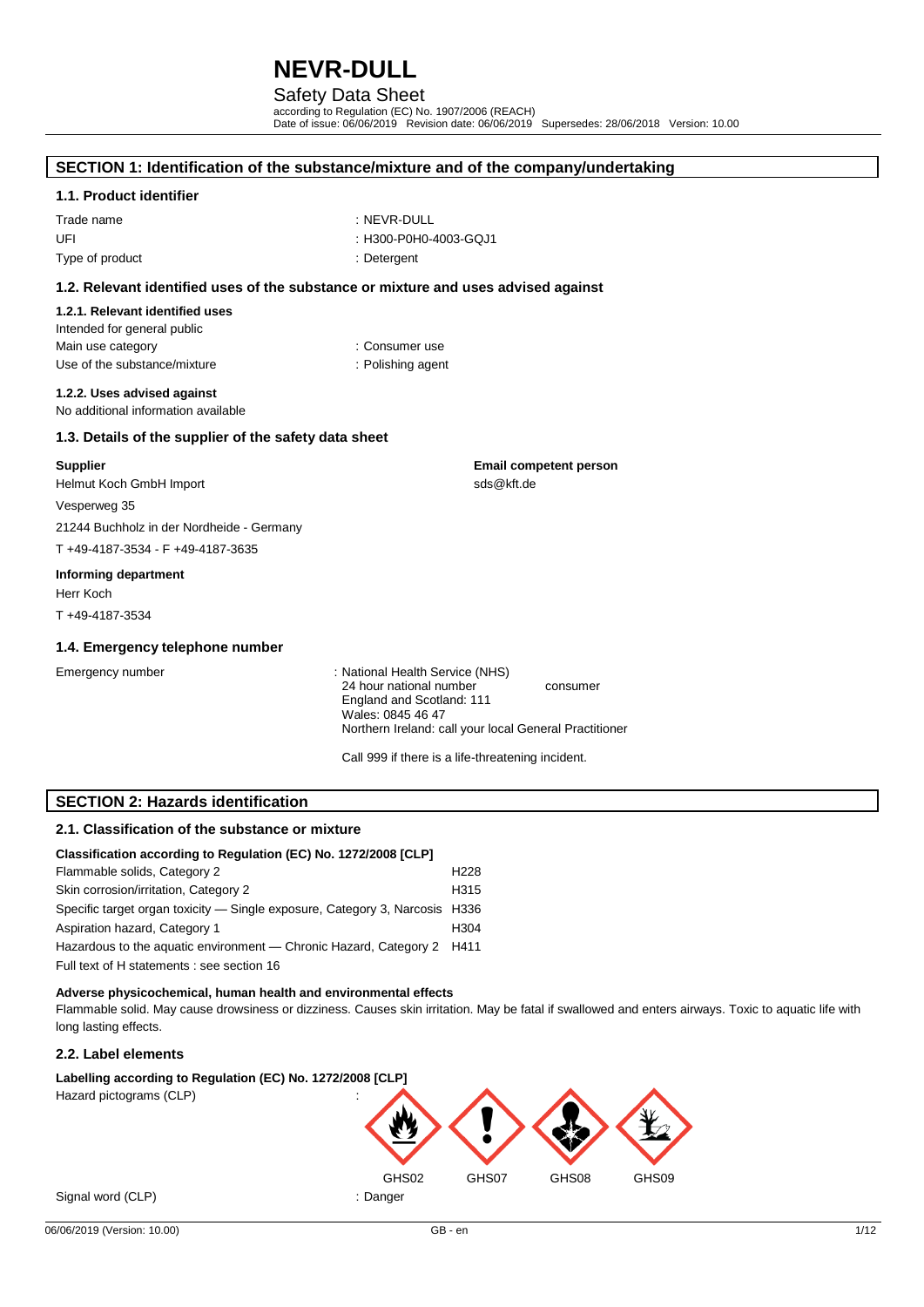## Safety Data Sheet

according to Regulation (EC) No. 1907/2006 (REACH) Date of issue: 06/06/2019 Revision date: 06/06/2019 Supersedes: 28/06/2018 Version: 10.00

## **SECTION 1: Identification of the substance/mixture and of the company/undertaking**

#### **1.1. Product identifier**

Trade name : NEVR-DULL UFI : H300-P0H0-4003-GQJ1 Type of product and the contract of the contract of the contract of the contract of the contract of the contract of the contract of the contract of the contract of the contract of the contract of the contract of the contra

- 
- 
- 

#### **1.2. Relevant identified uses of the substance or mixture and uses advised against**

#### **1.2.1. Relevant identified uses** Intended for general public Main use category **Example 20** and 20 and 20 and 20 and 20 and 20 and 20 and 20 and 20 and 20 and 20 and 20 and 20 and 20 and 20 and 20 and 20 and 20 and 20 and 20 and 20 and 20 and 20 and 20 and 20 and 20 and 20 and 20 an Use of the substance/mixture : Polishing agent

**1.2.2. Uses advised against**

No additional information available

#### **1.3. Details of the supplier of the safety data sheet**

#### **Supplier**

Helmut Koch GmbH Import

Vesperweg 35

21244 Buchholz in der Nordheide - Germany

T +49-4187-3534 - F +49-4187-3635

#### **Informing department**

Herr Koch T +49-4187-3534

# **1.4. Emergency telephone number**

Emergency number : National Health Service (NHS) 24 hour national number consumer England and Scotland: 111 Wales: 0845 46 47 Northern Ireland: call your local General Practitioner

**Email competent person**

sds@kft.de

Call 999 if there is a life-threatening incident.

## **SECTION 2: Hazards identification**

## **2.1. Classification of the substance or mixture**

| Classification according to Regulation (EC) No. 1272/2008 [CLP]             |                  |  |  |
|-----------------------------------------------------------------------------|------------------|--|--|
| Flammable solids, Category 2                                                | H <sub>228</sub> |  |  |
| Skin corrosion/irritation, Category 2                                       | H <sub>315</sub> |  |  |
| Specific target organ toxicity — Single exposure, Category 3, Narcosis H336 |                  |  |  |
| Aspiration hazard, Category 1                                               | H <sub>304</sub> |  |  |
| Hazardous to the aguatic environment — Chronic Hazard, Category 2 H411      |                  |  |  |
| Full text of H statements : see section 16                                  |                  |  |  |

#### **Adverse physicochemical, human health and environmental effects**

Flammable solid. May cause drowsiness or dizziness. Causes skin irritation. May be fatal if swallowed and enters airways. Toxic to aquatic life with long lasting effects.

#### **2.2. Label elements**

Labelling according to Regulation (EC) No. 1272/2008 [CLP] Hazard pictograms (CLP) :

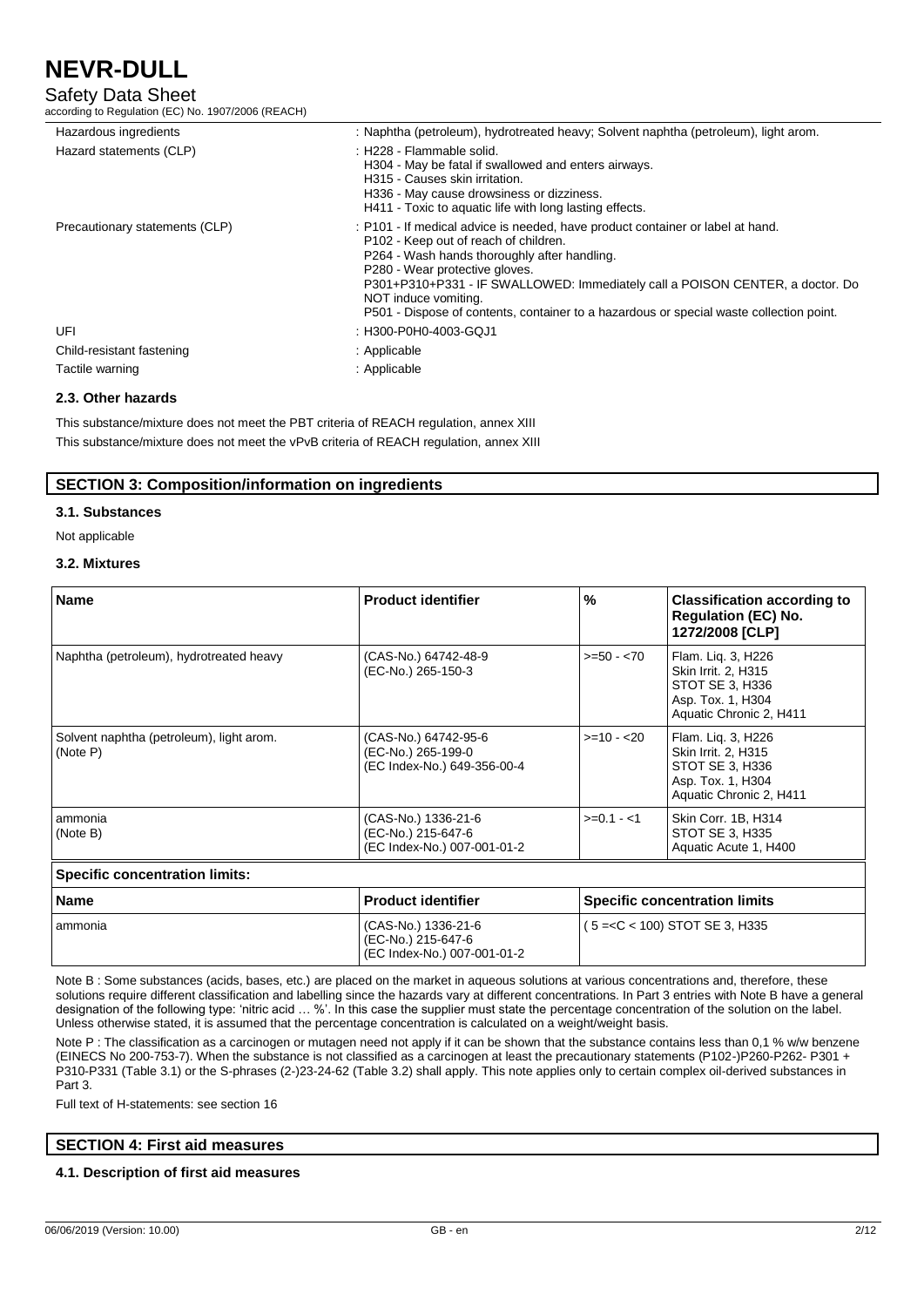## Safety Data Sheet

according to Regulation (EC) No. 1907/2006 (REACH)

| Hazardous ingredients          | : Naphtha (petroleum), hydrotreated heavy; Solvent naphtha (petroleum), light arom.                                                                                                                                                                                                                                                                                                                           |
|--------------------------------|---------------------------------------------------------------------------------------------------------------------------------------------------------------------------------------------------------------------------------------------------------------------------------------------------------------------------------------------------------------------------------------------------------------|
| Hazard statements (CLP)        | : H228 - Flammable solid.<br>H304 - May be fatal if swallowed and enters airways.<br>H315 - Causes skin irritation.<br>H336 - May cause drowsiness or dizziness.<br>H411 - Toxic to aquatic life with long lasting effects.                                                                                                                                                                                   |
| Precautionary statements (CLP) | : P101 - If medical advice is needed, have product container or label at hand.<br>P102 - Keep out of reach of children.<br>P264 - Wash hands thoroughly after handling.<br>P280 - Wear protective gloves.<br>P301+P310+P331 - IF SWALLOWED: Immediately call a POISON CENTER, a doctor. Do<br>NOT induce vomiting.<br>P501 - Dispose of contents, container to a hazardous or special waste collection point. |
| UFI                            | : H300-P0H0-4003-GQJ1                                                                                                                                                                                                                                                                                                                                                                                         |
| Child-resistant fastening      | : Applicable                                                                                                                                                                                                                                                                                                                                                                                                  |
| Tactile warning                | : Applicable                                                                                                                                                                                                                                                                                                                                                                                                  |

## **2.3. Other hazards**

This substance/mixture does not meet the PBT criteria of REACH regulation, annex XIII This substance/mixture does not meet the vPvB criteria of REACH regulation, annex XIII

### **SECTION 3: Composition/information on ingredients**

#### **3.1. Substances**

Not applicable

#### **3.2. Mixtures**

| <b>Name</b>                                          | <b>Product identifier</b>                                                 | $\frac{9}{6}$ | <b>Classification according to</b><br><b>Regulation (EC) No.</b><br>1272/2008 [CLP]                          |
|------------------------------------------------------|---------------------------------------------------------------------------|---------------|--------------------------------------------------------------------------------------------------------------|
| Naphtha (petroleum), hydrotreated heavy              | (CAS-No.) 64742-48-9<br>(EC-No.) 265-150-3                                | $>= 50 - 70$  | Flam. Lig. 3, H226<br>Skin Irrit. 2, H315<br>STOT SE 3, H336<br>Asp. Tox. 1, H304<br>Aquatic Chronic 2, H411 |
| Solvent naphtha (petroleum), light arom.<br>(Note P) | (CAS-No.) 64742-95-6<br>(EC-No.) 265-199-0<br>(EC Index-No.) 649-356-00-4 | $>=10 - 20$   | Flam. Lig. 3, H226<br>Skin Irrit. 2, H315<br>STOT SE 3, H336<br>Asp. Tox. 1, H304<br>Aquatic Chronic 2, H411 |
| ammonia<br>(Note B)                                  | (CAS-No.) 1336-21-6<br>(EC-No.) 215-647-6<br>(EC Index-No.) 007-001-01-2  | $>=0.1 - 1$   | Skin Corr. 1B, H314<br>STOT SE 3, H335<br>Aquatic Acute 1, H400                                              |

#### **Specific concentration limits: Name Product identifier Specific concentration limits Name Specific** ammonia (CAS-No.) 1336-21-6 (EC-No.) 215-647-6 (EC Index-No.) 007-001-01-2 ( 5 =<C < 100) STOT SE 3, H335

Note B : Some substances (acids, bases, etc.) are placed on the market in aqueous solutions at various concentrations and, therefore, these solutions require different classification and labelling since the hazards vary at different concentrations. In Part 3 entries with Note B have a general designation of the following type: 'nitric acid … %'. In this case the supplier must state the percentage concentration of the solution on the label. Unless otherwise stated, it is assumed that the percentage concentration is calculated on a weight/weight basis.

Note P : The classification as a carcinogen or mutagen need not apply if it can be shown that the substance contains less than 0,1 % w/w benzene (EINECS No 200-753-7). When the substance is not classified as a carcinogen at least the precautionary statements (P102-)P260-P262- P301 + P310-P331 (Table 3.1) or the S-phrases (2-)23-24-62 (Table 3.2) shall apply. This note applies only to certain complex oil-derived substances in Part 3.

Full text of H-statements: see section 16

## **SECTION 4: First aid measures**

#### **4.1. Description of first aid measures**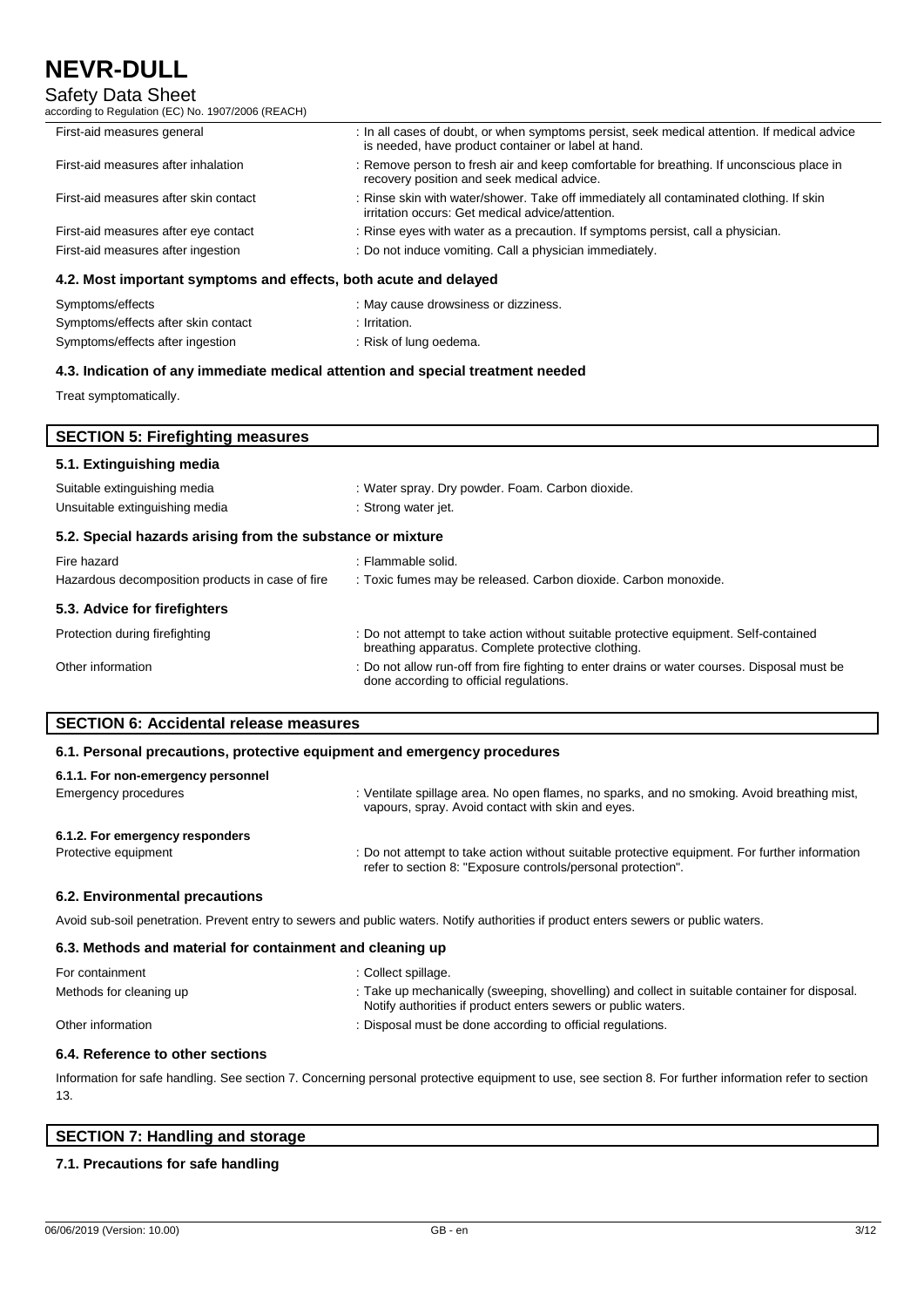## Safety Data Sheet

according to Regulation (EC) No. 1907/2006 (REACH)

| A 2 Most important symptoms and effects hoth acute and delayed |                                                                                                                                                     |  |
|----------------------------------------------------------------|-----------------------------------------------------------------------------------------------------------------------------------------------------|--|
| First-aid measures after ingestion                             | : Do not induce vomiting. Call a physician immediately.                                                                                             |  |
| First-aid measures after eye contact                           | : Rinse eyes with water as a precaution. If symptoms persist, call a physician.                                                                     |  |
| First-aid measures after skin contact                          | : Rinse skin with water/shower. Take off immediately all contaminated clothing. If skin<br>irritation occurs: Get medical advice/attention.         |  |
| First-aid measures after inhalation                            | : Remove person to fresh air and keep comfortable for breathing. If unconscious place in<br>recovery position and seek medical advice.              |  |
| First-aid measures general                                     | : In all cases of doubt, or when symptoms persist, seek medical attention. If medical advice<br>is needed, have product container or label at hand. |  |
|                                                                |                                                                                                                                                     |  |

#### **4.2. Most important symptoms and effects, both acute and delayed**

| Symptoms/effects                    | : May cause drowsiness or dizziness. |
|-------------------------------------|--------------------------------------|
| Symptoms/effects after skin contact | Irritation.                          |
| Symptoms/effects after ingestion    | : Risk of lung oedema.               |

### **4.3. Indication of any immediate medical attention and special treatment needed**

Treat symptomatically.

| <b>SECTION 5: Firefighting measures</b>                    |                                                                                                                                             |  |  |
|------------------------------------------------------------|---------------------------------------------------------------------------------------------------------------------------------------------|--|--|
| 5.1. Extinguishing media                                   |                                                                                                                                             |  |  |
| Suitable extinguishing media                               | : Water spray. Dry powder. Foam. Carbon dioxide.                                                                                            |  |  |
| Unsuitable extinguishing media                             | : Strong water jet.                                                                                                                         |  |  |
| 5.2. Special hazards arising from the substance or mixture |                                                                                                                                             |  |  |
| Fire hazard                                                | : Flammable solid.                                                                                                                          |  |  |
| Hazardous decomposition products in case of fire           | : Toxic fumes may be released. Carbon dioxide. Carbon monoxide.                                                                             |  |  |
| 5.3. Advice for firefighters                               |                                                                                                                                             |  |  |
| Protection during firefighting                             | : Do not attempt to take action without suitable protective equipment. Self-contained<br>breathing apparatus. Complete protective clothing. |  |  |
| Other information                                          | : Do not allow run-off from fire fighting to enter drains or water courses. Disposal must be<br>done according to official regulations.     |  |  |

### **SECTION 6: Accidental release measures**

#### **6.1. Personal precautions, protective equipment and emergency procedures**

| 6.1.1. For non-emergency personnel |                                                                                                                                                                |
|------------------------------------|----------------------------------------------------------------------------------------------------------------------------------------------------------------|
| Emergency procedures               | : Ventilate spillage area. No open flames, no sparks, and no smoking. Avoid breathing mist,<br>vapours, spray. Avoid contact with skin and eyes.               |
| 6.1.2. For emergency responders    |                                                                                                                                                                |
| Protective equipment               | : Do not attempt to take action without suitable protective equipment. For further information<br>refer to section 8: "Exposure controls/personal protection". |
| 6.2. Environmental precautions     |                                                                                                                                                                |

#### Avoid sub-soil penetration. Prevent entry to sewers and public waters. Notify authorities if product enters sewers or public waters.

#### **6.3. Methods and material for containment and cleaning up**

| For containment         | : Collect spillage.                                                                                                                                            |
|-------------------------|----------------------------------------------------------------------------------------------------------------------------------------------------------------|
| Methods for cleaning up | : Take up mechanically (sweeping, shovelling) and collect in suitable container for disposal.<br>Notify authorities if product enters sewers or public waters. |
| Other information       | : Disposal must be done according to official regulations.                                                                                                     |

#### **6.4. Reference to other sections**

Information for safe handling. See section 7. Concerning personal protective equipment to use, see section 8. For further information refer to section 13.

### **SECTION 7: Handling and storage**

### **7.1. Precautions for safe handling**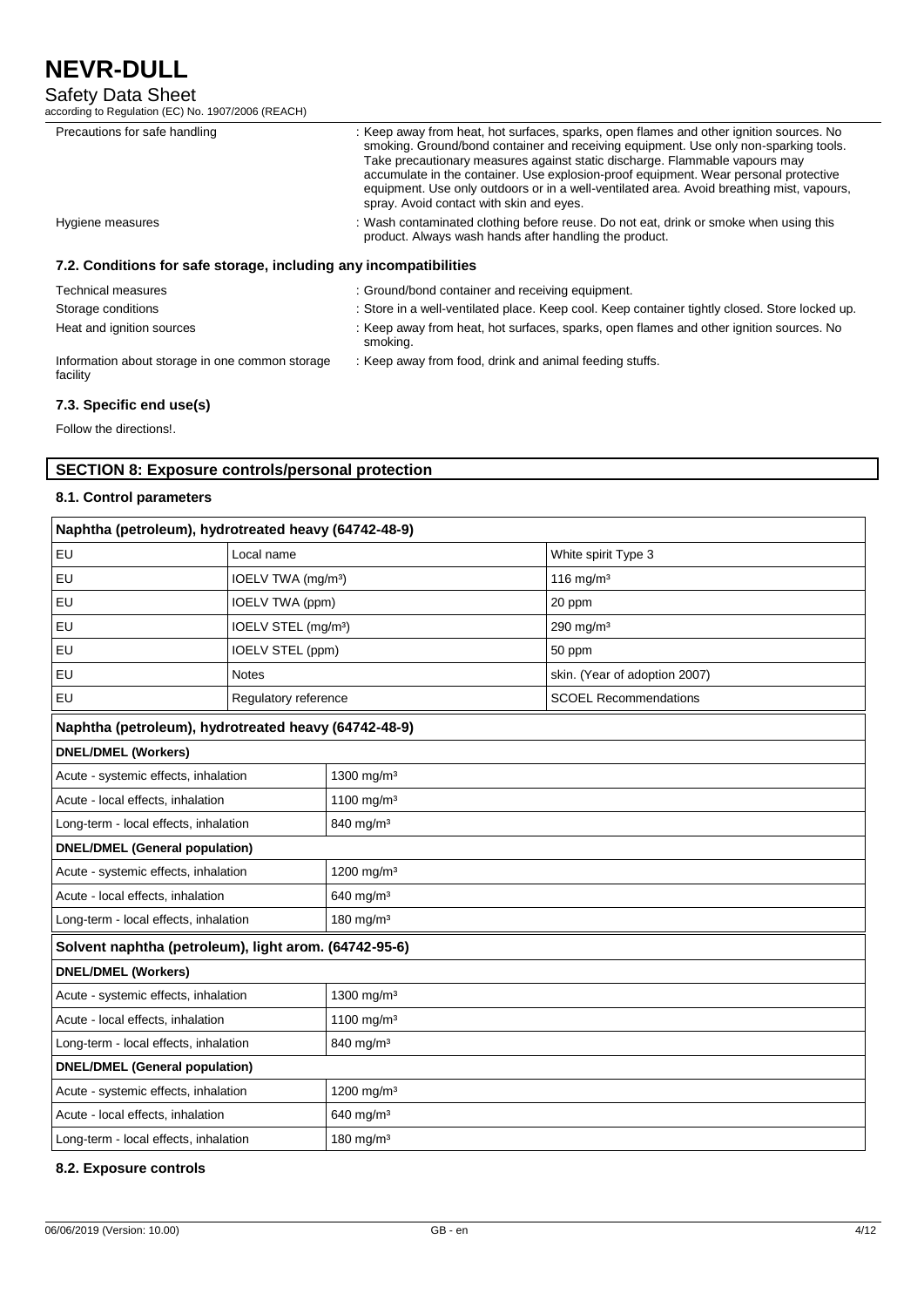## Safety Data Sheet

according to Regulation (EC) No. 1907/2006 (REACH)

| Precautions for safe handling                                     | : Keep away from heat, hot surfaces, sparks, open flames and other ignition sources. No<br>smoking. Ground/bond container and receiving equipment. Use only non-sparking tools.<br>Take precautionary measures against static discharge. Flammable vapours may<br>accumulate in the container. Use explosion-proof equipment. Wear personal protective<br>equipment. Use only outdoors or in a well-ventilated area. Avoid breathing mist, vapours,<br>spray. Avoid contact with skin and eyes. |  |  |
|-------------------------------------------------------------------|-------------------------------------------------------------------------------------------------------------------------------------------------------------------------------------------------------------------------------------------------------------------------------------------------------------------------------------------------------------------------------------------------------------------------------------------------------------------------------------------------|--|--|
| Hygiene measures                                                  | : Wash contaminated clothing before reuse. Do not eat, drink or smoke when using this<br>product. Always wash hands after handling the product.                                                                                                                                                                                                                                                                                                                                                 |  |  |
| 7.2. Conditions for safe storage, including any incompatibilities |                                                                                                                                                                                                                                                                                                                                                                                                                                                                                                 |  |  |
| <b>Technical measures</b>                                         | : Ground/bond container and receiving equipment.                                                                                                                                                                                                                                                                                                                                                                                                                                                |  |  |
| Storage conditions                                                | : Store in a well-ventilated place. Keep cool. Keep container tightly closed. Store locked up.                                                                                                                                                                                                                                                                                                                                                                                                  |  |  |

Heat and ignition sources : Keep away from heat, hot surfaces, sparks, open flames and other ignition sources. No smoking. : Keep away from food, drink and animal feeding stuffs.

Information about storage in one common storage facility

## **7.3. Specific end use(s)**

Follow the directions!.

## **SECTION 8: Exposure controls/personal protection**

### **8.1. Control parameters**

| Naphtha (petroleum), hydrotreated heavy (64742-48-9)  |                                 |                        |                               |
|-------------------------------------------------------|---------------------------------|------------------------|-------------------------------|
| EU                                                    | Local name                      |                        | White spirit Type 3           |
| EU                                                    | IOELV TWA (mg/m <sup>3</sup> )  |                        | 116 mg/m $3$                  |
| EU                                                    | IOELV TWA (ppm)                 |                        | 20 ppm                        |
| EU                                                    | IOELV STEL (mg/m <sup>3</sup> ) |                        | 290 mg/m <sup>3</sup>         |
| EU                                                    | IOELV STEL (ppm)                |                        | 50 ppm                        |
| EU                                                    | <b>Notes</b>                    |                        | skin. (Year of adoption 2007) |
| EU                                                    | Regulatory reference            |                        | <b>SCOEL Recommendations</b>  |
| Naphtha (petroleum), hydrotreated heavy (64742-48-9)  |                                 |                        |                               |
| <b>DNEL/DMEL (Workers)</b>                            |                                 |                        |                               |
| Acute - systemic effects, inhalation                  |                                 | 1300 mg/m <sup>3</sup> |                               |
| Acute - local effects, inhalation                     |                                 | 1100 mg/m <sup>3</sup> |                               |
| Long-term - local effects, inhalation                 |                                 | 840 mg/m <sup>3</sup>  |                               |
| <b>DNEL/DMEL (General population)</b>                 |                                 |                        |                               |
| Acute - systemic effects, inhalation                  |                                 | 1200 mg/m <sup>3</sup> |                               |
| Acute - local effects, inhalation                     |                                 | 640 mg/m <sup>3</sup>  |                               |
| Long-term - local effects, inhalation                 |                                 | 180 mg/m $3$           |                               |
| Solvent naphtha (petroleum), light arom. (64742-95-6) |                                 |                        |                               |
| <b>DNEL/DMEL (Workers)</b>                            |                                 |                        |                               |
| Acute - systemic effects, inhalation                  |                                 | 1300 mg/m <sup>3</sup> |                               |
| Acute - local effects, inhalation                     |                                 | 1100 mg/m <sup>3</sup> |                               |
| Long-term - local effects, inhalation                 |                                 | 840 mg/m <sup>3</sup>  |                               |
| <b>DNEL/DMEL (General population)</b>                 |                                 |                        |                               |
| Acute - systemic effects, inhalation                  |                                 | 1200 mg/m <sup>3</sup> |                               |
| Acute - local effects, inhalation                     |                                 | 640 mg/m <sup>3</sup>  |                               |
| Long-term - local effects, inhalation                 | 180 mg/m $3$                    |                        |                               |

**8.2. Exposure controls**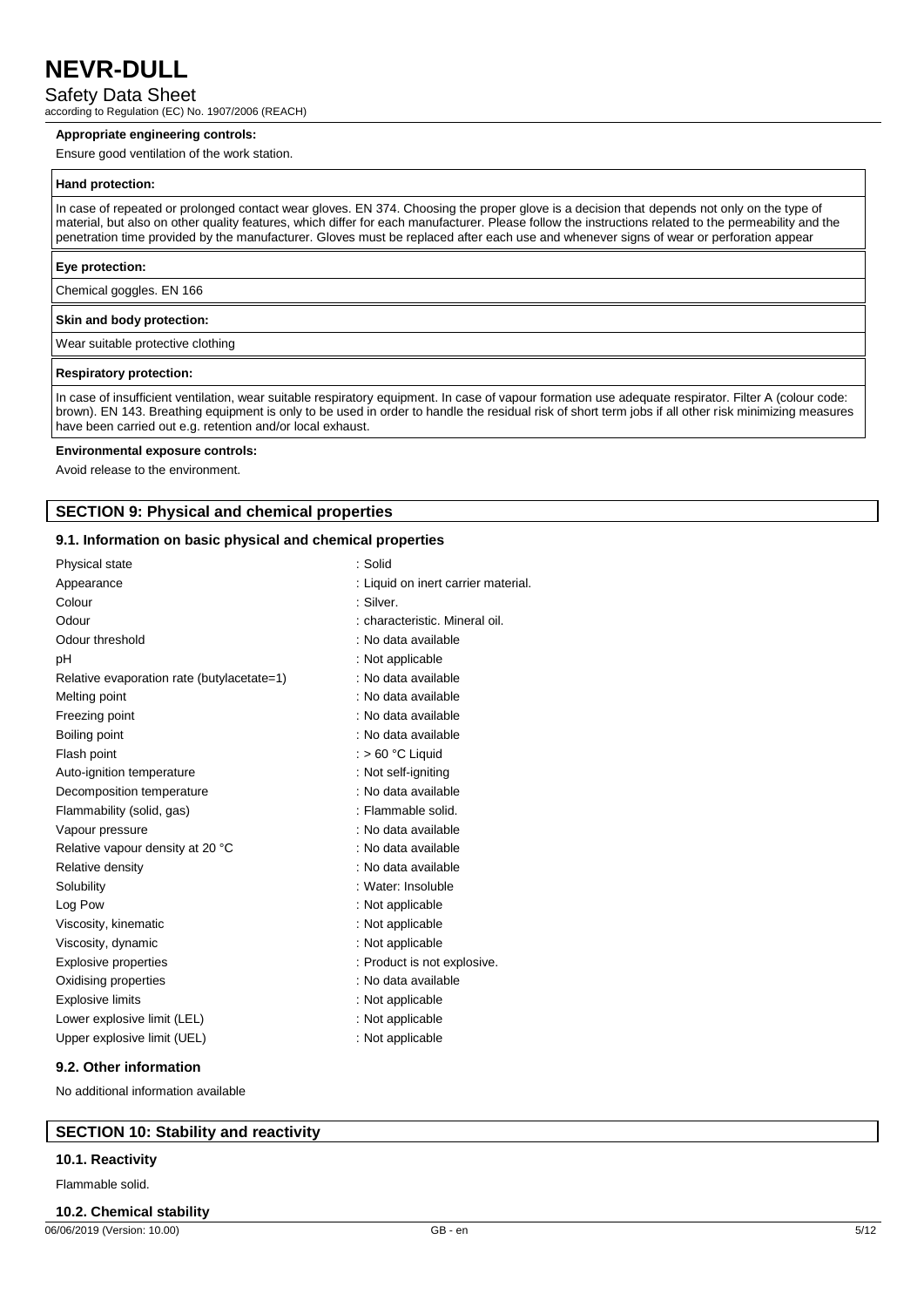Safety Data Sheet

according to Regulation (EC) No. 1907/2006 (REACH)

#### **Appropriate engineering controls:**

Ensure good ventilation of the work station.

#### **Hand protection:**

In case of repeated or prolonged contact wear gloves. EN 374. Choosing the proper glove is a decision that depends not only on the type of material, but also on other quality features, which differ for each manufacturer. Please follow the instructions related to the permeability and the penetration time provided by the manufacturer. Gloves must be replaced after each use and whenever signs of wear or perforation appear

#### **Eye protection:**

Chemical goggles. EN 166

#### **Skin and body protection:**

Wear suitable protective clothing

#### **Respiratory protection:**

In case of insufficient ventilation, wear suitable respiratory equipment. In case of vapour formation use adequate respirator. Filter A (colour code: brown). EN 143. Breathing equipment is only to be used in order to handle the residual risk of short term jobs if all other risk minimizing measures have been carried out e.g. retention and/or local exhaust.

#### **Environmental exposure controls:**

Avoid release to the environment.

## **SECTION 9: Physical and chemical properties**

#### **9.1. Information on basic physical and chemical properties**

| Physical state                             | : Solid                             |
|--------------------------------------------|-------------------------------------|
| Appearance                                 | : Liquid on inert carrier material. |
| Colour                                     | : Silver.                           |
| Odour                                      | : characteristic. Mineral oil.      |
| Odour threshold                            | : No data available                 |
| рH                                         | : Not applicable                    |
| Relative evaporation rate (butylacetate=1) | : No data available                 |
| Melting point                              | : No data available                 |
| Freezing point                             | : No data available                 |
| Boiling point                              | : No data available                 |
| Flash point                                | : $> 60 °C$ Liquid                  |
| Auto-ignition temperature                  | : Not self-igniting                 |
| Decomposition temperature                  | : No data available                 |
| Flammability (solid, gas)                  | : Flammable solid.                  |
| Vapour pressure                            | : No data available                 |
| Relative vapour density at 20 °C           | : No data available                 |
| Relative density                           | : No data available                 |
| Solubility                                 | : Water: Insoluble                  |
| Log Pow                                    | : Not applicable                    |
| Viscosity, kinematic                       | : Not applicable                    |
| Viscosity, dynamic                         | : Not applicable                    |
| <b>Explosive properties</b>                | : Product is not explosive.         |
| Oxidising properties                       | : No data available                 |
| <b>Explosive limits</b>                    | : Not applicable                    |
| Lower explosive limit (LEL)                | : Not applicable                    |
| Upper explosive limit (UEL)                | : Not applicable                    |
|                                            |                                     |

#### **9.2. Other information**

No additional information available

### **SECTION 10: Stability and reactivity**

#### **10.1. Reactivity**

Flammable solid.

#### **10.2. Chemical stability**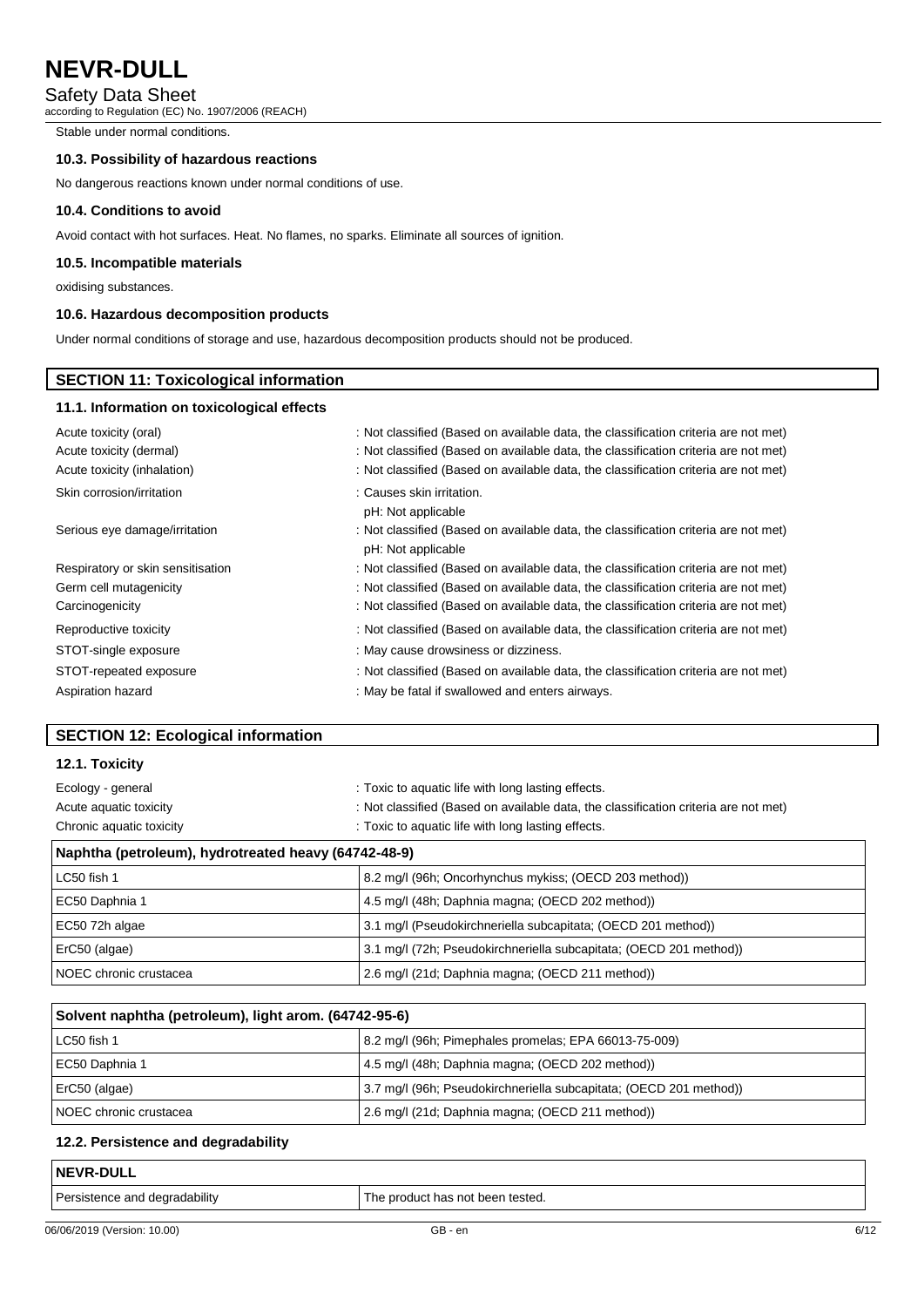## Safety Data Sheet

according to Regulation (EC) No. 1907/2006 (REACH)

Stable under normal conditions.

## **10.3. Possibility of hazardous reactions**

No dangerous reactions known under normal conditions of use.

#### **10.4. Conditions to avoid**

Avoid contact with hot surfaces. Heat. No flames, no sparks. Eliminate all sources of ignition.

### **10.5. Incompatible materials**

oxidising substances.

 $\Gamma$ 

### **10.6. Hazardous decomposition products**

Under normal conditions of storage and use, hazardous decomposition products should not be produced.

| <b>SECTION 11: Toxicological information</b> |                                                                                                           |  |  |
|----------------------------------------------|-----------------------------------------------------------------------------------------------------------|--|--|
| 11.1. Information on toxicological effects   |                                                                                                           |  |  |
| Acute toxicity (oral)                        | : Not classified (Based on available data, the classification criteria are not met)                       |  |  |
| Acute toxicity (dermal)                      | : Not classified (Based on available data, the classification criteria are not met)                       |  |  |
| Acute toxicity (inhalation)                  | : Not classified (Based on available data, the classification criteria are not met)                       |  |  |
| Skin corrosion/irritation                    | : Causes skin irritation.<br>pH: Not applicable                                                           |  |  |
| Serious eye damage/irritation                | : Not classified (Based on available data, the classification criteria are not met)<br>pH: Not applicable |  |  |
| Respiratory or skin sensitisation            | : Not classified (Based on available data, the classification criteria are not met)                       |  |  |
| Germ cell mutagenicity                       | : Not classified (Based on available data, the classification criteria are not met)                       |  |  |
| Carcinogenicity                              | : Not classified (Based on available data, the classification criteria are not met)                       |  |  |
| Reproductive toxicity                        | : Not classified (Based on available data, the classification criteria are not met)                       |  |  |
| STOT-single exposure                         | : May cause drowsiness or dizziness.                                                                      |  |  |
| STOT-repeated exposure                       | : Not classified (Based on available data, the classification criteria are not met)                       |  |  |
| Aspiration hazard                            | : May be fatal if swallowed and enters airways.                                                           |  |  |

## **SECTION 12: Ecological information**

## **12.1. Toxicity**

| Naphtha (petroleum), hydrotreated heavy (64742-48-9)                                |  |
|-------------------------------------------------------------------------------------|--|
| : Toxic to aquatic life with long lasting effects.                                  |  |
| : Not classified (Based on available data, the classification criteria are not met) |  |
| : Toxic to aquatic life with long lasting effects.                                  |  |
|                                                                                     |  |

| LC50 fish 1            | 8.2 mg/l (96h; Oncorhynchus mykiss; (OECD 203 method))             |
|------------------------|--------------------------------------------------------------------|
| EC50 Daphnia 1         | 4.5 mg/l (48h; Daphnia magna; (OECD 202 method))                   |
| EC50 72h algae         | 3.1 mg/l (Pseudokirchneriella subcapitata; (OECD 201 method))      |
| ErC50 (algae)          | 3.1 mg/l (72h; Pseudokirchneriella subcapitata; (OECD 201 method)) |
| NOEC chronic crustacea | 2.6 mg/l (21d; Daphnia magna; (OECD 211 method))                   |

| Solvent naphtha (petroleum), light arom. (64742-95-6) |                                                                    |  |
|-------------------------------------------------------|--------------------------------------------------------------------|--|
| l LC50 fish 1                                         | 8.2 mg/l (96h; Pimephales promelas; EPA 66013-75-009)              |  |
| EC50 Daphnia 1                                        | 4.5 mg/l (48h; Daphnia magna; (OECD 202 method))                   |  |
| ErC50 (algae)                                         | 3.7 mg/l (96h; Pseudokirchneriella subcapitata; (OECD 201 method)) |  |
| l NOEC chronic crustacea                              | 2.6 mg/l (21d; Daphnia magna; (OECD 211 method))                   |  |

### **12.2. Persistence and degradability**

| <b>NEVR-DULL</b>              |                                  |
|-------------------------------|----------------------------------|
| Persistence and degradability | The product has not been tested. |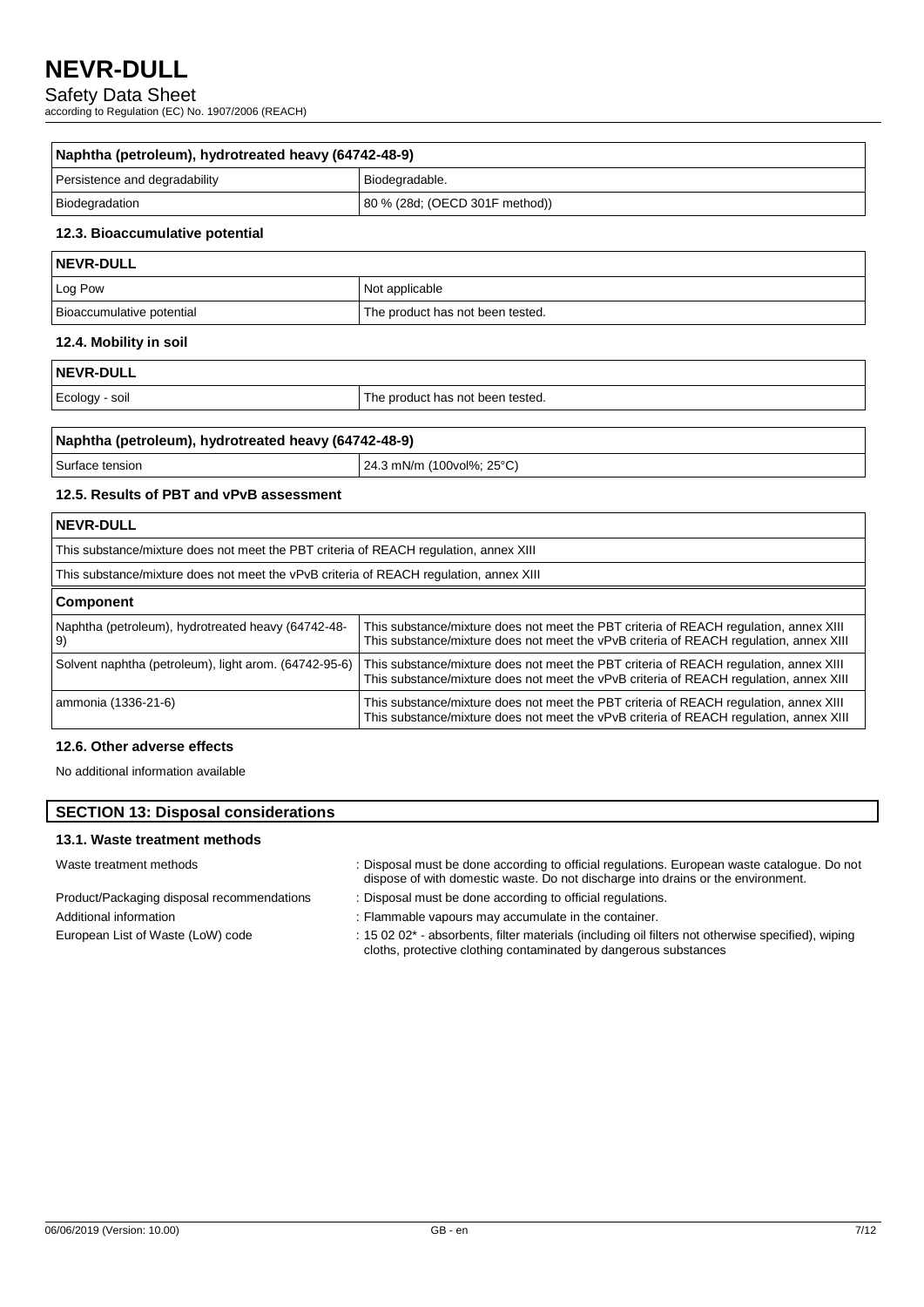Safety Data Sheet

according to Regulation (EC) No. 1907/2006 (REACH)

| Naphtha (petroleum), hydrotreated heavy (64742-48-9) |                                |  |
|------------------------------------------------------|--------------------------------|--|
| Persistence and degradability                        | Biodegradable.                 |  |
| Biodegradation                                       | 80 % (28d; (OECD 301F method)) |  |

### **12.3. Bioaccumulative potential**

| NEVR-DULL                 |                                  |  |
|---------------------------|----------------------------------|--|
| Log Pow                   | Not applicable                   |  |
| Bioaccumulative potential | The product has not been tested. |  |

### **12.4. Mobility in soil**

| <b>NEVR-DULL</b> |  |
|------------------|--|
|------------------|--|

Ecology - soil **Ecology** - soil **The product has not been tested.** 

| Naphtha (petroleum), hydrotreated heavy (64742-48-9) |                                   |  |
|------------------------------------------------------|-----------------------------------|--|
| Surface tension                                      | $\vert$ 24.3 mN/m (100vol%; 25°C) |  |

### **12.5. Results of PBT and vPvB assessment**

| NEVR-DULL                                                                              |                                                                                                                                                                                 |  |
|----------------------------------------------------------------------------------------|---------------------------------------------------------------------------------------------------------------------------------------------------------------------------------|--|
| This substance/mixture does not meet the PBT criteria of REACH regulation, annex XIII  |                                                                                                                                                                                 |  |
| This substance/mixture does not meet the vPvB criteria of REACH regulation, annex XIII |                                                                                                                                                                                 |  |
| <b>Component</b>                                                                       |                                                                                                                                                                                 |  |
| Naphtha (petroleum), hydrotreated heavy (64742-48-<br>9)                               | This substance/mixture does not meet the PBT criteria of REACH regulation, annex XIII<br>This substance/mixture does not meet the vPvB criteria of REACH requlation, annex XIII |  |
| Solvent naphtha (petroleum), light arom. (64742-95-6)                                  | This substance/mixture does not meet the PBT criteria of REACH regulation, annex XIII<br>This substance/mixture does not meet the vPvB criteria of REACH regulation, annex XIII |  |
| ammonia (1336-21-6)                                                                    | This substance/mixture does not meet the PBT criteria of REACH regulation, annex XIII<br>This substance/mixture does not meet the vPvB criteria of REACH regulation, annex XIII |  |

## **12.6. Other adverse effects**

No additional information available

## **SECTION 13: Disposal considerations**

## **13.1. Waste treatment methods**

Waste treatment methods : Disposal must be done according to official regulations. European waste catalogue. Do not

Product/Packaging disposal recommendations : Disposal must be done according to official regulations.

- dispose of with domestic waste. Do not discharge into drains or the environment.
- Additional information **interest in the container.** : Flammable vapours may accumulate in the container.

European List of Waste (LoW) code : 15 02 02\* - absorbents, filter materials (including oil filters not otherwise specified), wiping cloths, protective clothing contaminated by dangerous substances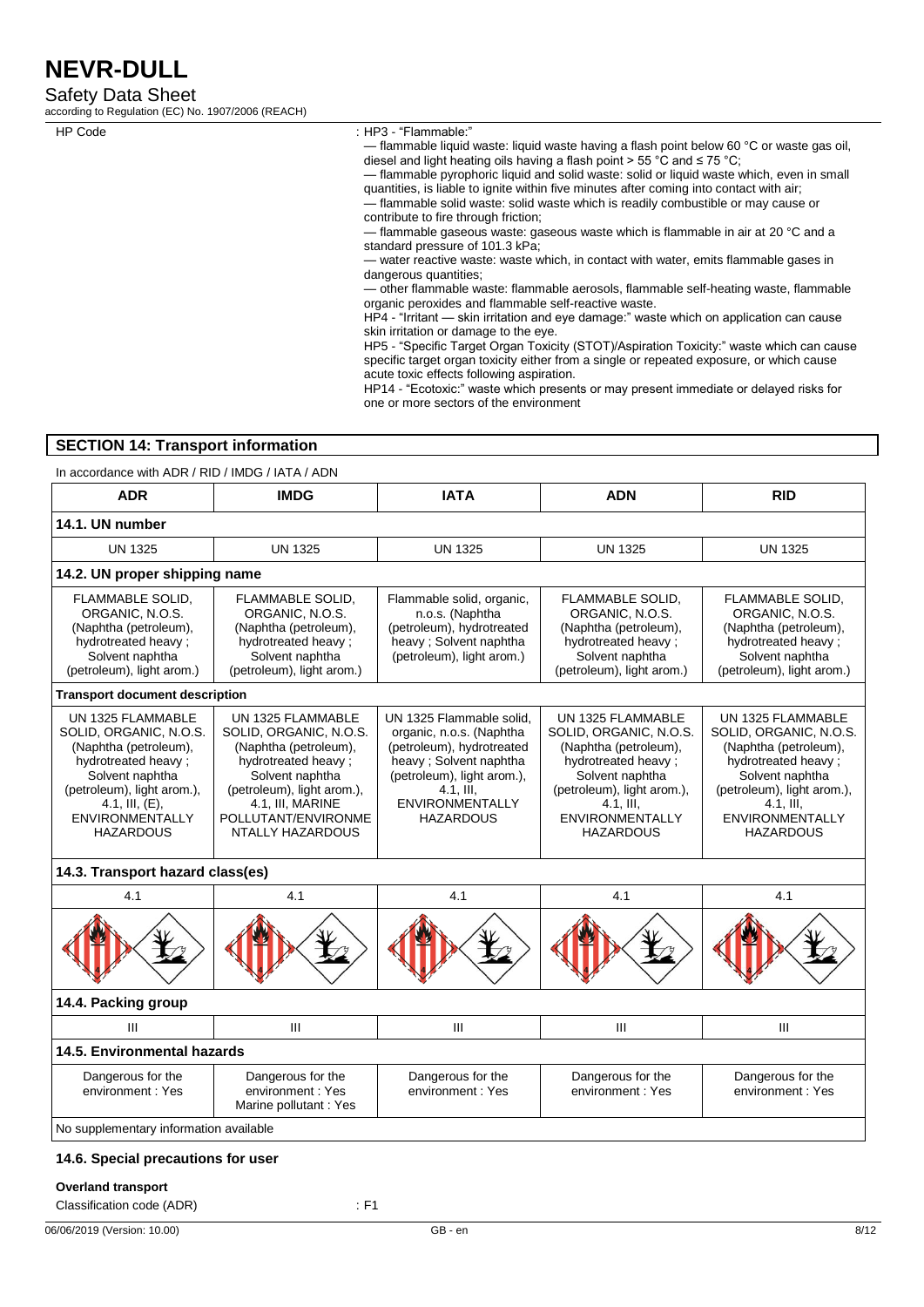Safety Data Sheet

according to Regulation (EC) No. 1907/2006 (REACH)

HP Code : HP3 - "Flammable:"

— flammable liquid waste: liquid waste having a flash point below 60 °C or waste gas oil, diesel and light heating oils having a flash point > 55 °C and ≤ 75 °C;

— flammable pyrophoric liquid and solid waste: solid or liquid waste which, even in small quantities, is liable to ignite within five minutes after coming into contact with air; — flammable solid waste: solid waste which is readily combustible or may cause or

contribute to fire through friction;

— flammable gaseous waste: gaseous waste which is flammable in air at 20 °C and a standard pressure of 101.3 kPa;

— water reactive waste: waste which, in contact with water, emits flammable gases in dangerous quantities;

— other flammable waste: flammable aerosols, flammable self-heating waste, flammable organic peroxides and flammable self-reactive waste.

HP4 - "Irritant — skin irritation and eye damage:" waste which on application can cause skin irritation or damage to the eye.

HP5 - "Specific Target Organ Toxicity (STOT)/Aspiration Toxicity:" waste which can cause specific target organ toxicity either from a single or repeated exposure, or which cause acute toxic effects following aspiration.

HP14 - "Ecotoxic:" waste which presents or may present immediate or delayed risks for one or more sectors of the environment

## **SECTION 14: Transport information**

In accordance with ADR / RID / IMDG / IATA / ADN

| <b>ADR</b>                                                                                                                                                                                                      | <b>IMDG</b>                                                                                                                                                                                                 | <b>IATA</b>                                                                                                                                                                                             | <b>ADN</b>                                                                                                                                                                                              | <b>RID</b>                                                                                                                                                                                                 |
|-----------------------------------------------------------------------------------------------------------------------------------------------------------------------------------------------------------------|-------------------------------------------------------------------------------------------------------------------------------------------------------------------------------------------------------------|---------------------------------------------------------------------------------------------------------------------------------------------------------------------------------------------------------|---------------------------------------------------------------------------------------------------------------------------------------------------------------------------------------------------------|------------------------------------------------------------------------------------------------------------------------------------------------------------------------------------------------------------|
| 14.1. UN number                                                                                                                                                                                                 |                                                                                                                                                                                                             |                                                                                                                                                                                                         |                                                                                                                                                                                                         |                                                                                                                                                                                                            |
| <b>UN 1325</b>                                                                                                                                                                                                  | <b>UN 1325</b>                                                                                                                                                                                              | <b>UN 1325</b>                                                                                                                                                                                          | <b>UN 1325</b>                                                                                                                                                                                          | <b>UN 1325</b>                                                                                                                                                                                             |
| 14.2. UN proper shipping name                                                                                                                                                                                   |                                                                                                                                                                                                             |                                                                                                                                                                                                         |                                                                                                                                                                                                         |                                                                                                                                                                                                            |
| FLAMMABLE SOLID,<br>ORGANIC, N.O.S.<br>(Naphtha (petroleum),<br>hydrotreated heavy ;<br>Solvent naphtha<br>(petroleum), light arom.)                                                                            | FLAMMABLE SOLID,<br>ORGANIC, N.O.S.<br>(Naphtha (petroleum),<br>hydrotreated heavy ;<br>Solvent naphtha<br>(petroleum), light arom.)                                                                        | Flammable solid, organic,<br>n.o.s. (Naphtha<br>(petroleum), hydrotreated<br>heavy; Solvent naphtha<br>(petroleum), light arom.)                                                                        | FLAMMABLE SOLID,<br>ORGANIC, N.O.S.<br>(Naphtha (petroleum),<br>hydrotreated heavy ;<br>Solvent naphtha<br>(petroleum), light arom.)                                                                    | FLAMMABLE SOLID,<br>ORGANIC, N.O.S.<br>(Naphtha (petroleum),<br>hydrotreated heavy ;<br>Solvent naphtha<br>(petroleum), light arom.)                                                                       |
| <b>Transport document description</b>                                                                                                                                                                           |                                                                                                                                                                                                             |                                                                                                                                                                                                         |                                                                                                                                                                                                         |                                                                                                                                                                                                            |
| UN 1325 FLAMMABLE<br>SOLID, ORGANIC, N.O.S.<br>(Naphtha (petroleum),<br>hydrotreated heavy;<br>Solvent naphtha<br>(petroleum), light arom.),<br>4.1, III, $(E)$ ,<br><b>ENVIRONMENTALLY</b><br><b>HAZARDOUS</b> | UN 1325 FLAMMABLE<br>SOLID, ORGANIC, N.O.S.<br>(Naphtha (petroleum),<br>hydrotreated heavy;<br>Solvent naphtha<br>(petroleum), light arom.),<br>4.1, III, MARINE<br>POLLUTANT/ENVIRONME<br>NTALLY HAZARDOUS | UN 1325 Flammable solid.<br>organic, n.o.s. (Naphtha<br>(petroleum), hydrotreated<br>heavy ; Solvent naphtha<br>(petroleum), light arom.),<br>$4.1.$ III.<br><b>ENVIRONMENTALLY</b><br><b>HAZARDOUS</b> | UN 1325 FLAMMABLE<br>SOLID, ORGANIC, N.O.S.<br>(Naphtha (petroleum),<br>hydrotreated heavy;<br>Solvent naphtha<br>(petroleum), light arom.),<br>4.1, III,<br><b>ENVIRONMENTALLY</b><br><b>HAZARDOUS</b> | UN 1325 FLAMMABLE<br>SOLID, ORGANIC, N.O.S.<br>(Naphtha (petroleum),<br>hydrotreated heavy;<br>Solvent naphtha<br>(petroleum), light arom.),<br>$4.1$ , III,<br><b>ENVIRONMENTALLY</b><br><b>HAZARDOUS</b> |
| 14.3. Transport hazard class(es)                                                                                                                                                                                |                                                                                                                                                                                                             |                                                                                                                                                                                                         |                                                                                                                                                                                                         |                                                                                                                                                                                                            |
| 4.1                                                                                                                                                                                                             | 4.1                                                                                                                                                                                                         | 4.1                                                                                                                                                                                                     | 4.1                                                                                                                                                                                                     | 4.1                                                                                                                                                                                                        |
|                                                                                                                                                                                                                 |                                                                                                                                                                                                             |                                                                                                                                                                                                         |                                                                                                                                                                                                         |                                                                                                                                                                                                            |
| 14.4. Packing group                                                                                                                                                                                             |                                                                                                                                                                                                             |                                                                                                                                                                                                         |                                                                                                                                                                                                         |                                                                                                                                                                                                            |
| Ш                                                                                                                                                                                                               | III                                                                                                                                                                                                         | $\mathbf{III}$                                                                                                                                                                                          | III                                                                                                                                                                                                     | III                                                                                                                                                                                                        |
| 14.5. Environmental hazards                                                                                                                                                                                     |                                                                                                                                                                                                             |                                                                                                                                                                                                         |                                                                                                                                                                                                         |                                                                                                                                                                                                            |
| Dangerous for the<br>environment: Yes                                                                                                                                                                           | Dangerous for the<br>environment: Yes<br>Marine pollutant : Yes                                                                                                                                             | Dangerous for the<br>environment: Yes                                                                                                                                                                   | Dangerous for the<br>environment: Yes                                                                                                                                                                   | Dangerous for the<br>environment: Yes                                                                                                                                                                      |
| No supplementary information available                                                                                                                                                                          |                                                                                                                                                                                                             |                                                                                                                                                                                                         |                                                                                                                                                                                                         |                                                                                                                                                                                                            |

### **14.6. Special precautions for user**

#### **Overland transport**

Classification code (ADR) : F1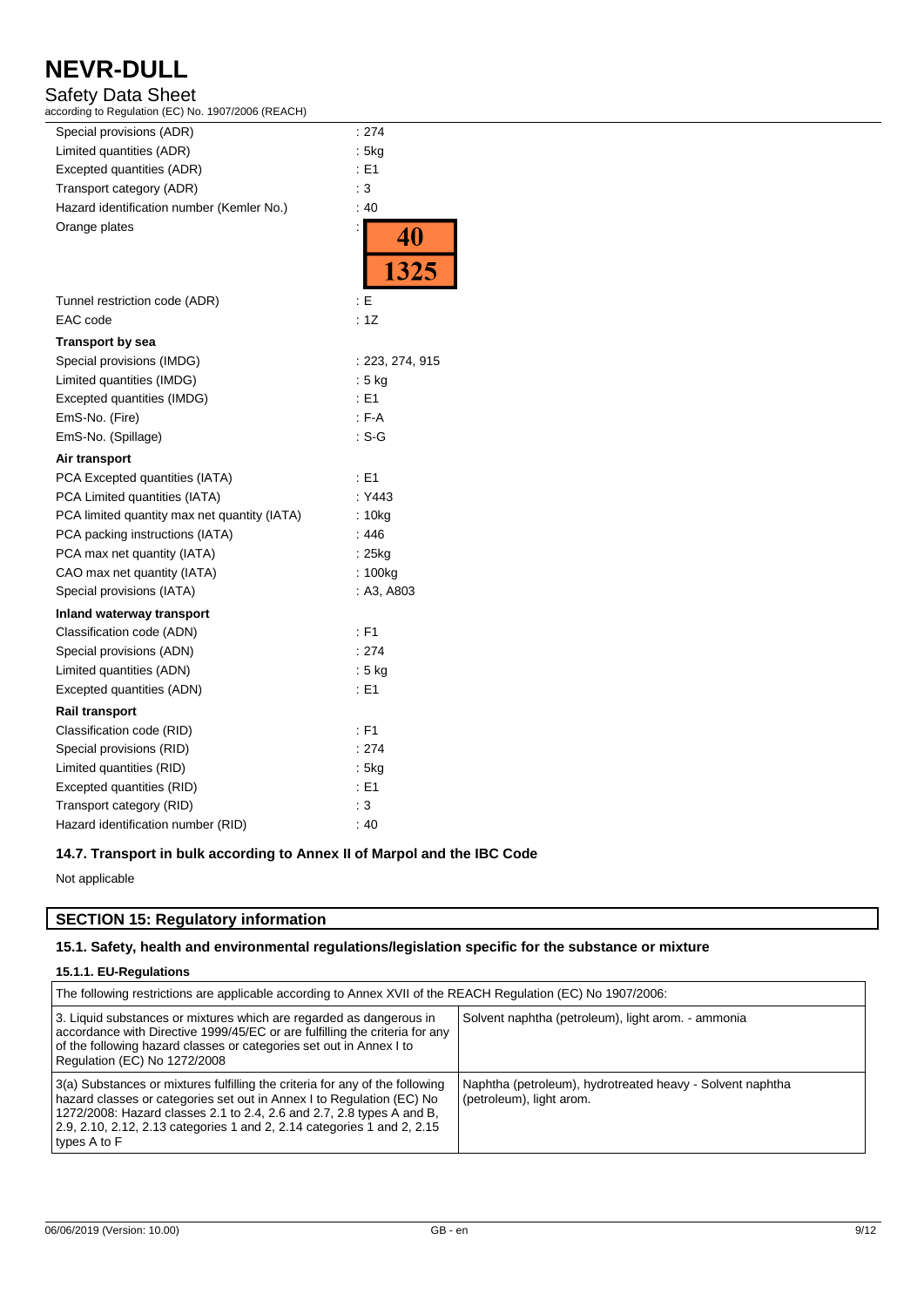## Safety Data Sheet

according to Regulation (EC) No. 1907/2006 (REACH)

| Special provisions (ADR)                     | : 274             |
|----------------------------------------------|-------------------|
| Limited quantities (ADR)                     | : 5kg             |
| Excepted quantities (ADR)                    | E1                |
| Transport category (ADR)                     | : 3               |
| Hazard identification number (Kemler No.)    | :40               |
| Orange plates                                | $\frac{40}{1325}$ |
|                                              |                   |
| Tunnel restriction code (ADR)                | : E               |
| EAC code                                     | : 1Z              |
| Transport by sea                             |                   |
| Special provisions (IMDG)                    | :223, 274, 915    |
| Limited quantities (IMDG)                    | : 5 kg            |
| Excepted quantities (IMDG)                   | : E1              |
| EmS-No. (Fire)                               | : F-A             |
| EmS-No. (Spillage)                           | : S-G             |
| Air transport                                |                   |
| PCA Excepted quantities (IATA)               | $\pm 51$          |
| PCA Limited quantities (IATA)                | : Y443            |
| PCA limited quantity max net quantity (IATA) | : 10kg            |
| PCA packing instructions (IATA)              | : 446             |
| PCA max net quantity (IATA)                  | : 25kg            |
| CAO max net quantity (IATA)                  | : 100kg           |
| Special provisions (IATA)                    | : A3, A803        |
| Inland waterway transport                    |                   |
| Classification code (ADN)                    | : F1              |
| Special provisions (ADN)                     | : 274             |
| Limited quantities (ADN)                     | $:5$ kg           |
| Excepted quantities (ADN)                    | $\pm 51$          |
| <b>Rail transport</b>                        |                   |
| Classification code (RID)                    | $:$ F1            |
| Special provisions (RID)                     | : 274             |
| Limited quantities (RID)                     | : 5kg             |
| Excepted quantities (RID)                    | : E1              |
| Transport category (RID)                     | : 3               |
| Hazard identification number (RID)           | :40               |

### **14.7. Transport in bulk according to Annex II of Marpol and the IBC Code**

Not applicable

## **SECTION 15: Regulatory information**

## **15.1. Safety, health and environmental regulations/legislation specific for the substance or mixture**

## **15.1.1. EU-Regulations**

| The following restrictions are applicable according to Annex XVII of the REACH Regulation (EC) No 1907/2006:                                                                                                                                                                                                              |                                                                                       |  |
|---------------------------------------------------------------------------------------------------------------------------------------------------------------------------------------------------------------------------------------------------------------------------------------------------------------------------|---------------------------------------------------------------------------------------|--|
| 3. Liquid substances or mixtures which are regarded as dangerous in<br>accordance with Directive 1999/45/EC or are fulfilling the criteria for any<br>of the following hazard classes or categories set out in Annex I to<br>Regulation (EC) No 1272/2008                                                                 | Solvent naphtha (petroleum), light arom. - ammonia                                    |  |
| 3(a) Substances or mixtures fulfilling the criteria for any of the following<br>hazard classes or categories set out in Annex I to Regulation (EC) No<br>1272/2008: Hazard classes 2.1 to 2.4, 2.6 and 2.7, 2.8 types A and B,<br>2.9, 2.10, 2.12, 2.13 categories 1 and 2, 2.14 categories 1 and 2, 2.15<br>types A to F | Naphtha (petroleum), hydrotreated heavy - Solvent naphtha<br>(petroleum), light arom. |  |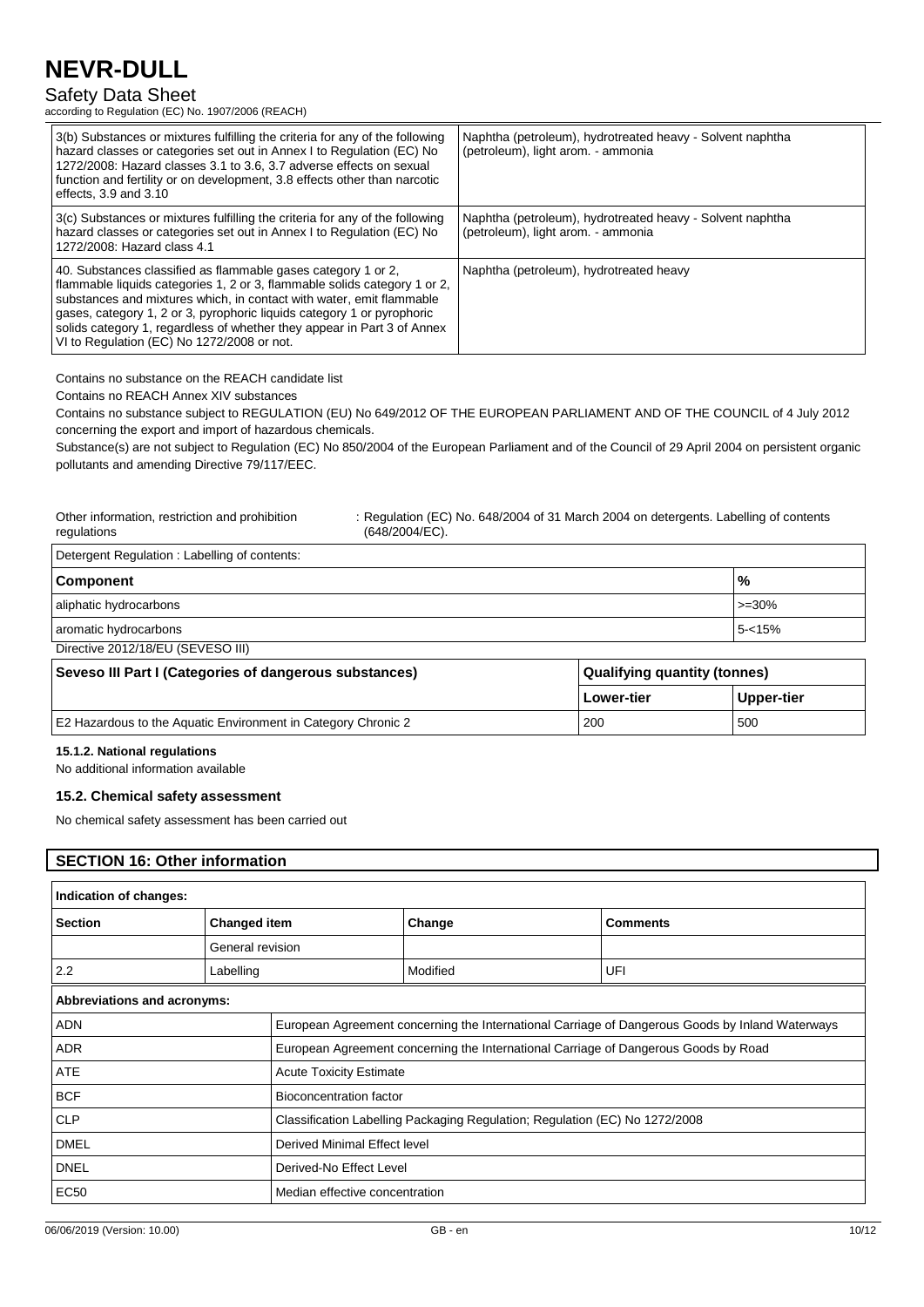## Safety Data Sheet

according to Regulation (EC) No. 1907/2006 (REACH)

| 3(b) Substances or mixtures fulfilling the criteria for any of the following<br>hazard classes or categories set out in Annex I to Regulation (EC) No<br>1272/2008: Hazard classes 3.1 to 3.6, 3.7 adverse effects on sexual<br>function and fertility or on development, 3.8 effects other than narcotic<br>effects, $3.9$ and $3.10$                                                                                | Naphtha (petroleum), hydrotreated heavy - Solvent naphtha<br>(petroleum), light arom. - ammonia |
|-----------------------------------------------------------------------------------------------------------------------------------------------------------------------------------------------------------------------------------------------------------------------------------------------------------------------------------------------------------------------------------------------------------------------|-------------------------------------------------------------------------------------------------|
| 3(c) Substances or mixtures fulfilling the criteria for any of the following<br>hazard classes or categories set out in Annex I to Regulation (EC) No<br>1272/2008: Hazard class 4.1                                                                                                                                                                                                                                  | Naphtha (petroleum), hydrotreated heavy - Solvent naphtha<br>(petroleum), light arom. - ammonia |
| 40. Substances classified as flammable gases category 1 or 2.<br>flammable liquids categories 1, 2 or 3, flammable solids category 1 or 2,<br>substances and mixtures which, in contact with water, emit flammable<br>gases, category 1, 2 or 3, pyrophoric liquids category 1 or pyrophoric<br>solids category 1, regardless of whether they appear in Part 3 of Annex<br>VI to Regulation (EC) No 1272/2008 or not. | Naphtha (petroleum), hydrotreated heavy                                                         |

Contains no substance on the REACH candidate list

Contains no REACH Annex XIV substances

Contains no substance subject to REGULATION (EU) No 649/2012 OF THE EUROPEAN PARLIAMENT AND OF THE COUNCIL of 4 July 2012 concerning the export and import of hazardous chemicals.

Substance(s) are not subject to Regulation (EC) No 850/2004 of the European Parliament and of the Council of 29 April 2004 on persistent organic pollutants and amending Directive 79/117/EEC.

| Other information, restriction and prohibition<br>regulations | : Regulation (EC) No. 648/2004 of 31 March 2004 on detergents. Labelling of contents<br>(648/2004/EC). |                |
|---------------------------------------------------------------|--------------------------------------------------------------------------------------------------------|----------------|
| Detergent Regulation: Labelling of contents:                  |                                                                                                        |                |
| <b>Component</b>                                              |                                                                                                        | $\frac{10}{6}$ |
| aliphatic hydrocarbons                                        |                                                                                                        | $>=30%$        |
| aromatic hydrocarbons                                         |                                                                                                        | $5 - 15%$      |

Directive 2012/18/EU (SEVESO III)

| Seveso III Part I (Categories of dangerous substances)        | Qualifying quantity (tonnes) |              |
|---------------------------------------------------------------|------------------------------|--------------|
|                                                               | <b>Lower-tier</b>            | ∣ Upper-tier |
| E2 Hazardous to the Aquatic Environment in Category Chronic 2 | 200                          | 500          |

#### **15.1.2. National regulations**

No additional information available

#### **15.2. Chemical safety assessment**

No chemical safety assessment has been carried out

## **SECTION 16: Other information**

| Indication of changes:      |                                |                                                                             |                                                                                     |                                                                                                 |
|-----------------------------|--------------------------------|-----------------------------------------------------------------------------|-------------------------------------------------------------------------------------|-------------------------------------------------------------------------------------------------|
| <b>Section</b>              | <b>Changed item</b>            |                                                                             | Change                                                                              | <b>Comments</b>                                                                                 |
|                             | General revision               |                                                                             |                                                                                     |                                                                                                 |
| 2.2                         | Labelling                      |                                                                             | Modified                                                                            | UFI                                                                                             |
| Abbreviations and acronyms: |                                |                                                                             |                                                                                     |                                                                                                 |
| <b>ADN</b>                  |                                |                                                                             |                                                                                     | European Agreement concerning the International Carriage of Dangerous Goods by Inland Waterways |
| <b>ADR</b>                  |                                |                                                                             | European Agreement concerning the International Carriage of Dangerous Goods by Road |                                                                                                 |
| <b>ATE</b>                  | <b>Acute Toxicity Estimate</b> |                                                                             |                                                                                     |                                                                                                 |
| <b>BCF</b>                  |                                | <b>Bioconcentration factor</b>                                              |                                                                                     |                                                                                                 |
| <b>CLP</b>                  |                                | Classification Labelling Packaging Regulation; Regulation (EC) No 1272/2008 |                                                                                     |                                                                                                 |
| <b>DMEL</b>                 |                                | Derived Minimal Effect level                                                |                                                                                     |                                                                                                 |
| <b>DNEL</b>                 |                                | Derived-No Effect Level                                                     |                                                                                     |                                                                                                 |
| <b>EC50</b>                 |                                | Median effective concentration                                              |                                                                                     |                                                                                                 |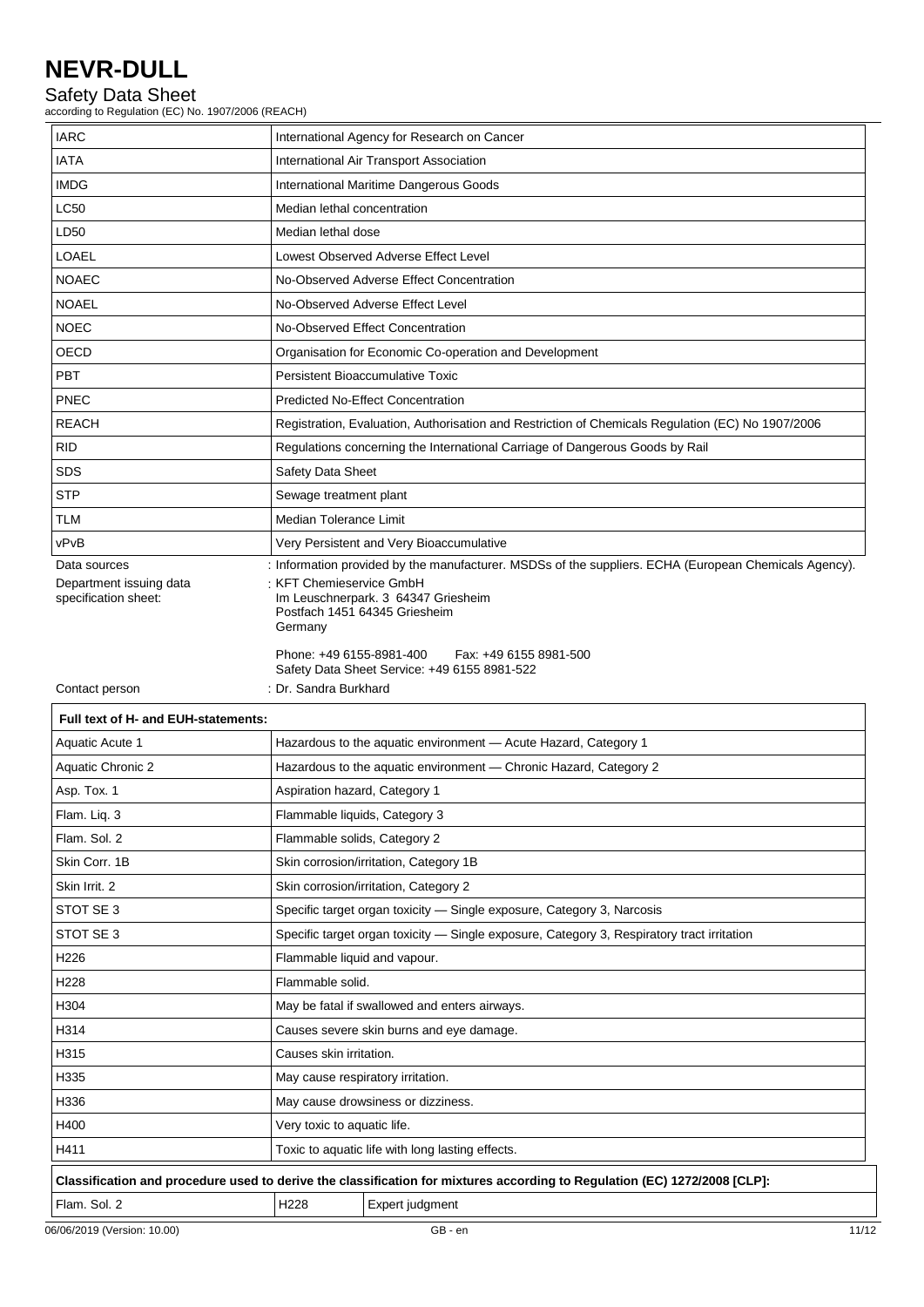## Safety Data Sheet

according to Regulation (EC) No. 1907/2006 (REACH)

| <b>IARC</b>                                     | International Agency for Research on Cancer                                                                      |  |  |
|-------------------------------------------------|------------------------------------------------------------------------------------------------------------------|--|--|
| <b>IATA</b>                                     | International Air Transport Association                                                                          |  |  |
| <b>IMDG</b>                                     | International Maritime Dangerous Goods                                                                           |  |  |
| <b>LC50</b>                                     | Median lethal concentration                                                                                      |  |  |
| LD50                                            | Median lethal dose                                                                                               |  |  |
| LOAEL                                           | Lowest Observed Adverse Effect Level                                                                             |  |  |
| <b>NOAEC</b>                                    | No-Observed Adverse Effect Concentration                                                                         |  |  |
| <b>NOAEL</b>                                    | No-Observed Adverse Effect Level                                                                                 |  |  |
| <b>NOEC</b>                                     | No-Observed Effect Concentration                                                                                 |  |  |
| OECD                                            | Organisation for Economic Co-operation and Development                                                           |  |  |
| PBT                                             | Persistent Bioaccumulative Toxic                                                                                 |  |  |
| <b>PNEC</b>                                     | <b>Predicted No-Effect Concentration</b>                                                                         |  |  |
| <b>REACH</b>                                    | Registration, Evaluation, Authorisation and Restriction of Chemicals Regulation (EC) No 1907/2006                |  |  |
| <b>RID</b>                                      | Regulations concerning the International Carriage of Dangerous Goods by Rail                                     |  |  |
| SDS                                             | Safety Data Sheet                                                                                                |  |  |
| <b>STP</b>                                      | Sewage treatment plant                                                                                           |  |  |
| TLM                                             | Median Tolerance Limit                                                                                           |  |  |
| vPvB                                            | Very Persistent and Very Bioaccumulative                                                                         |  |  |
| Data sources                                    | : Information provided by the manufacturer. MSDSs of the suppliers. ECHA (European Chemicals Agency).            |  |  |
| Department issuing data<br>specification sheet: | <b>KFT Chemieservice GmbH</b><br>Im Leuschnerpark. 3 64347 Griesheim<br>Postfach 1451 64345 Griesheim<br>Germany |  |  |
|                                                 | Phone: +49 6155-8981-400<br>Fax: +49 6155 8981-500<br>Safety Data Sheet Service: +49 6155 8981-522               |  |  |
| Contact person                                  | : Dr. Sandra Burkhard                                                                                            |  |  |
| Full text of H- and EUH-statements:             |                                                                                                                  |  |  |
| Aquatic Acute 1                                 | Hazardous to the aquatic environment - Acute Hazard, Category 1                                                  |  |  |
| <b>Aquatic Chronic 2</b>                        | Hazardous to the aquatic environment - Chronic Hazard, Category 2                                                |  |  |
| Asp. Tox. 1                                     | Aspiration hazard, Category 1                                                                                    |  |  |
| Flam. Liq. 3                                    | Flammable liquids, Category 3                                                                                    |  |  |
| Flam. Sol. 2                                    | Flammable solids, Category 2                                                                                     |  |  |
| Skin Corr. 1B                                   | Skin corrosion/irritation, Category 1B                                                                           |  |  |
| Skin Irrit. 2                                   | Skin corrosion/irritation, Category 2                                                                            |  |  |
| STOT SE 3                                       | Specific target organ toxicity - Single exposure, Category 3, Narcosis                                           |  |  |
| STOT SE 3                                       | Specific target organ toxicity - Single exposure, Category 3, Respiratory tract irritation                       |  |  |
| H226                                            | Flammable liquid and vapour.                                                                                     |  |  |
| H228                                            | Flammable solid.                                                                                                 |  |  |
| H304                                            | May be fatal if swallowed and enters airways.                                                                    |  |  |
| H314                                            | Causes severe skin burns and eye damage.                                                                         |  |  |

H315 Causes skin irritation.

H400 **Very toxic to aquatic life.** 

H335 May cause respiratory irritation. H336 May cause drowsiness or dizziness.

Flam. Sol. 2 | H228 | Expert judgment

H411 Toxic to aquatic life with long lasting effects.

**Classification and procedure used to derive the classification for mixtures according to Regulation (EC) 1272/2008 [CLP]:**